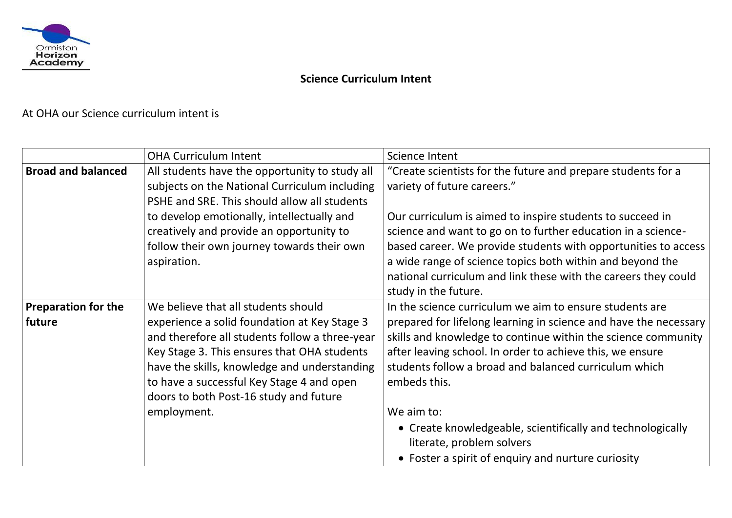

## **Science Curriculum Intent**

At OHA our Science curriculum intent is

|                                      | <b>OHA Curriculum Intent</b>                                                                                                                                                                                                                                                                                                               | <b>Science Intent</b>                                                                                                                                                                                                 |
|--------------------------------------|--------------------------------------------------------------------------------------------------------------------------------------------------------------------------------------------------------------------------------------------------------------------------------------------------------------------------------------------|-----------------------------------------------------------------------------------------------------------------------------------------------------------------------------------------------------------------------|
| <b>Broad and balanced</b>            | All students have the opportunity to study all<br>subjects on the National Curriculum including<br>PSHE and SRE. This should allow all students                                                                                                                                                                                            | "Create scientists for the future a<br>variety of future careers."                                                                                                                                                    |
|                                      | to develop emotionally, intellectually and<br>creatively and provide an opportunity to<br>follow their own journey towards their own<br>aspiration.                                                                                                                                                                                        | Our curriculum is aimed to inspire<br>science and want to go on to furt<br>based career. We provide studen<br>a wide range of science topics bo<br>national curriculum and link thes<br>study in the future.          |
| <b>Preparation for the</b><br>future | We believe that all students should<br>experience a solid foundation at Key Stage 3<br>and therefore all students follow a three-year<br>Key Stage 3. This ensures that OHA students<br>have the skills, knowledge and understanding<br>to have a successful Key Stage 4 and open<br>doors to both Post-16 study and future<br>employment. | In the science curriculum we aim<br>prepared for lifelong learning in s<br>skills and knowledge to continue<br>after leaving school. In order to a<br>students follow a broad and balar<br>embeds this.<br>We aim to: |
|                                      |                                                                                                                                                                                                                                                                                                                                            | • Create knowledgeable, scien<br>literate, problem solvers<br>• Foster a spirit of enquiry and                                                                                                                        |

## and prepare students for a

e students to succeed in ther education in a scienceits with opportunities to access oth within and beyond the e with the careers they could

Ito ensure students are science and have the necessary within the science community achieve this, we ensure nced curriculum which

Itifically and technologically

I nurture curiosity